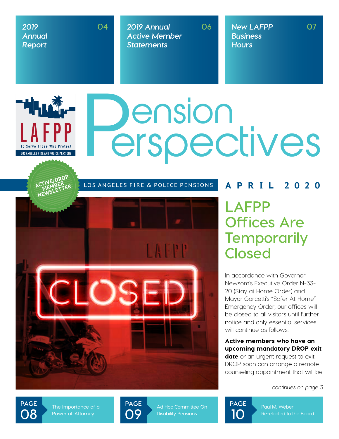### *2019 Annual Report*

▔<sup>▊▌</sup>▌<mark>▁▌▞░</mark>▗▃

LOS ANGELES FIRE AND POLICE PENSIONS

**04**

*2019 Annual Active Member Statements*

**06** *New LAFPP Business Hours*

# Dension<br>erspectives



### **lafpp Offices Are Temporarily Closed**

In accordance with Governor Newsom's [Executive Order N-33-](https://covid19.ca.gov/img/Executive-Order-N-33-20.pdf) [20 \(Stay at Home Order\)](https://covid19.ca.gov/img/Executive-Order-N-33-20.pdf) and Mayor Garcetti's "Safer At Home" Emergency Order, our offices will be closed to all visitors until further notice and only essential services will continue as follows:

Active members who have an upcoming mandatory DROP exit date or an urgent request to exit DROP soon can arrange a remote counseling appointment that will be

*continues on page 3*

**page 08**

**The Importance of a Power of Attorney**

**page 09**

**Ad Hoc Committee On Disability Pensions**



**Paul M. Weber Re-elected to the Board**

**07**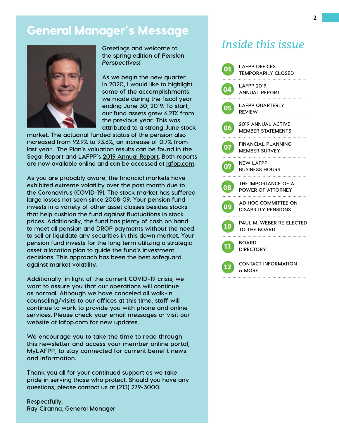### General Manager's Message



**Greetings and welcome to the spring edition of** *Pension Perspectives!* 

**As we begin the new quarter in 2020, I would like to highlight some of the accomplishments we made during the fiscal year ending June 30, 2019. To start, our fund assets grew 6.21% from the previous year. This was attributed to a strong June stock** 

**market. The actuarial funded status of the pension also increased from 92.9% to 93.6%, an increase of 0.7% from last year. The Plan's valuation results can be found in the Segal Report and LAFPP's [2019 Annual Report.](https://www.lafpp.com/sites/main/files/file-attachments/2019annualreport-web.pdf) Both reports are now available online and can be accessed at [lafpp.com](http://www.lafpp.com).** 

**As you are probably aware, the financial markets have exhibited extreme volatility over the past month due to the Coronavirus (COVID-19). The stock market has suffered large losses not seen since 2008-09. Your pension fund invests in a variety of other asset classes besides stocks that help cushion the fund against fluctuations in stock prices. Additionally, the fund has plenty of cash on hand to meet all pension and DROP payments without the need to sell or liquidate any securities in this down market. Your pension fund invests for the long term utilizing a strategic asset allocation plan to guide the fund's investment decisions. This approach has been the best safeguard against market volatility.** 

**Additionally, in light of the current COVID-19 crisis, we want to assure you that our operations will continue as normal. Although we have canceled all walk-in counseling/visits to our offices at this time, staff will continue to work to provide you with phone and online services. Please check your email messages or visit our website at [lafpp.com](http://www.lafpp.com) for new updates.** 

**We encourage you to take the time to read through this newsletter and access your member online portal, MyLAFPP, to stay connected for current benefit news and information.** 

**Thank you all for your continued support as we take pride in serving those who protect. Should you have any questions, please contact us at (213) 279-3000.**

**Respectfully, Ray Ciranna, General Manager**

### *Inside this issue*

| 01 | <b>LAFPP OFFICES</b><br><b>TEMPORARILY CLOSED</b>     |
|----|-------------------------------------------------------|
| 04 | <b>LAFPP 2019</b><br><b>ANNUAL REPORT</b>             |
| 05 | LAFPP QUARTERLY<br><b>REVIEW</b>                      |
| 06 | <b>2019 ANNUAL ACTIVE</b><br><b>MEMBER STATEMENTS</b> |
| 07 | <b>FINANCIAL PLANNING</b><br><b>MEMBER SURVEY</b>     |
| 07 | NEW LAFPP<br><b>BUSINESS HOURS</b>                    |
| 08 | THE IMPORTANCE OF A<br>POWER OF ATTORNEY              |
| 09 | AD HOC COMMITTEE ON<br><b>DISABILITY PENSIONS</b>     |
| 10 | PAUL M. WEBER RE-ELECTED<br><b>TO THE BOARD</b>       |
| 11 | <b>BOARD</b><br><b>DIRECTORY</b>                      |
| 12 | <b>CONTACT INFORMATION</b><br><u> አ MORE</u>          |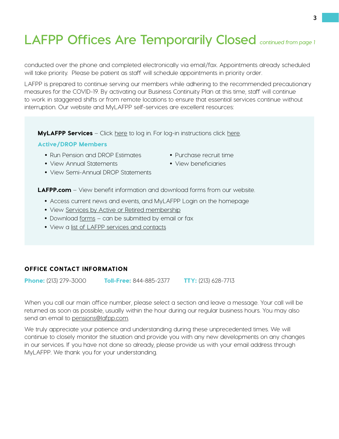### **LAFPP Offices Are Temporarily Closed** *continued from page 1*

conducted over the phone and completed electronically via email/fax. Appointments already scheduled will take priority. Please be patient as staff will schedule appointments in priority order.

LAFPP is prepared to continue serving our members while adhering to the recommended precautionary measures for the COVID-19. By activating our Business Continuity Plan at this time, staff will continue to work in staggered shifts or from remote locations to ensure that essential services continue without interruption. Our website and MyLAFPP self-services are excellent resources:

**MyLAFPP Services** – Click [here](https://lafpp-members.cpashosting.com/member/MemberLogin.jsp) to log in. For log-in instructions click [here](https://www.lafpp.com/sites/default/files/file-attachments/mylafpp_how_to_log_in_guide_web_06.07.19.pdf).

#### Active/DROP Members

- Run Pension and DROP Estimates
- 

- View Annual Statements
- View Semi-Annual DROP Statements

LAFPP.com – View benefit information and download forms from our website.

- Access current news and events, and MyLAFPP Login on the homepage
- View [Services by Active or Retired membership](https://www.lafpp.com/members)
- Download [forms](https://www.lafpp.com/forms-0) can be submitted by email or fax
- View a [list of LAFPP services and contacts](https://www.lafpp.com/services-directory)

### OFFICE CONTACT INFORMATION

Phone: (213) 279-3000 Toll-Free: 844-885-2377 TTY: (213) 628-7713

When you call our main office number, please select a section and leave a message. Your call will be returned as soon as possible, usually within the hour during our regular business hours. You may also send an email to [pensions@lafpp.com.](mailto:pensions%40lafpp.com?subject=)

We truly appreciate your patience and understanding during these unprecedented times. We will continue to closely monitor the situation and provide you with any new developments on any changes in our services. If you have not done so already, please provide us with your email address through MyLAFPP. We thank you for your understanding.

- Purchase recruit time
- 
- 
- View beneficiaries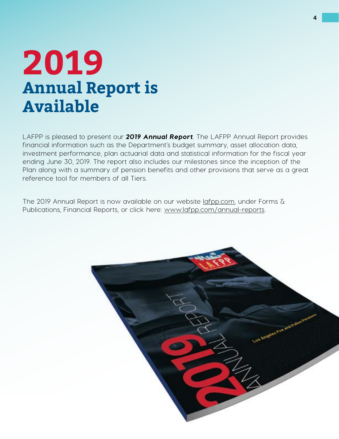### **2019 Annual Report is Available**

LAFPP is pleased to present our *2019 Annual Report*. The LAFPP Annual Report provides financial information such as the Department's budget summary, asset allocation data, investment performance, plan actuarial data and statistical information for the fiscal year ending June 30, 2019. The report also includes our milestones since the inception of the Plan along with a summary of pension benefits and other provisions that serve as a great reference tool for members of all Tiers.

The 2019 Annual Report is now available on our website [lafpp.com,](http://www.lafpp.com) under Forms & Publications, Financial Reports, or click here: [www.lafpp.com/annual-reports](https://www.lafpp.com/sites/main/files/file-attachments/2019annualreport-web.pdf).

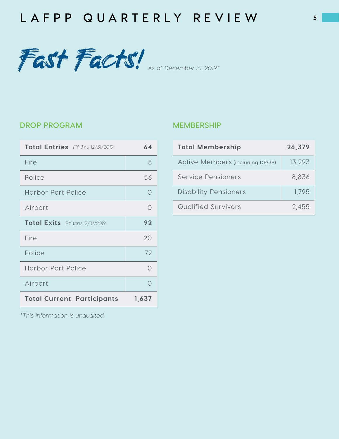



### **drop program**

| Total Entries FY thru 12/31/2019  | 64        |
|-----------------------------------|-----------|
| Fire                              | 8         |
| Police                            | 56        |
| <b>Harbor Port Police</b>         | ∩         |
| Airport                           | ∩         |
| Total Exits FY thru 12/31/2019    | 92        |
| Fire                              | 20        |
| Police                            | 72        |
| <b>Harbor Port Police</b>         | $\bigcap$ |
| Airport                           |           |
| <b>Total Current Participants</b> | 1,637     |

### **Membership**

| <b>Total Membership</b>                | 26,379 |
|----------------------------------------|--------|
| <b>Active Members (including DROP)</b> | 13,293 |
| Service Pensioners                     | 8,836  |
| <b>Disability Pensioners</b>           | 1,795  |
| Qualified Survivors                    | 2,455  |

*\*This information is unaudited.*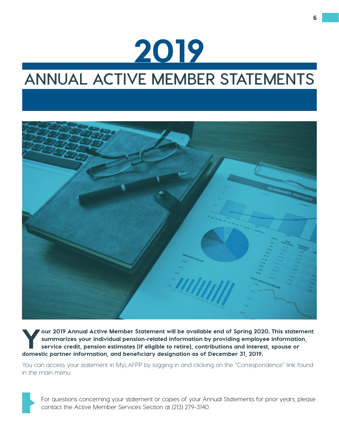## 2019

### **Annual Active Member Statements**



Your 2019 Annual Active Member Statement will be available end of Spring 2020. This statement<br>summarizes your individual pension-related information by providing employee information,<br>service credit, pension estimates (if summarizes your individual pension-related information by providing employee information, service credit, pension estimates (if eligible to retire), contributions and interest, spouse or domestic partner information, and beneficiary designation as of December 31, 2019.

You can access your statement in MyLAFPP by logging in and clicking on the "Correspondence" link found in the main menu.



For questions concerning your statement or copies of your Annual Statements for prior years, please contact the Active Member Services Section at (213) 279-3140.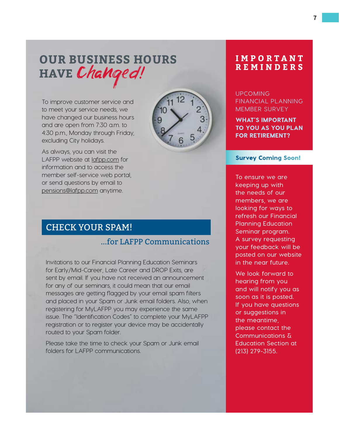### **Our Business Hours Have** Changed!

To improve customer service and to meet your service needs, we have changed our business hours and are open from 7:30 a.m. to 4:30 p.m., Monday through Friday, excluding City holidays.

As always, you can visit the LAFPP website at [lafpp.com](http://www.lafpp.com) for information and to access the member self-service web portal, or send questions by email to [pensions@lafpp.com](mailto:pensions%40lafpp.com?subject=) anytime.



### CHECK YOUR SPAM!

### ...for LAFPP Communications

Invitations to our Financial Planning Education Seminars for Early/Mid-Career, Late Career and DROP Exits, are sent by email. If you have not received an announcement for any of our seminars, it could mean that our email messages are getting flagged by your email spam filters and placed in your Spam or Junk email folders. Also, when registering for MyLAFPP you may experience the same issue. The "Identification Codes" to complete your MyLAFPP registration or to register your device may be accidentally routed to your Spam folder.

Please take the time to check your Spam or Junk email folders for LAFPP communications.

### **I M P O R T A N T REMINDERS**

### Upcoming Financial Planning MEMBER SURVEY

WHAT'S IMPORTANT to you as you plan for retirement?

#### Survey Coming Soon!

**To ensure we are keeping up with the needs of our members, we are looking for ways to refresh our Financial Planning Education Seminar program. A survey requesting your feedback will be posted on our website in the near future.**

**We look forward to hearing from you and will notify you as soon as it is posted. If you have questions or suggestions in the meantime, please contact the Communications & Education Section at (213) 279-3155.**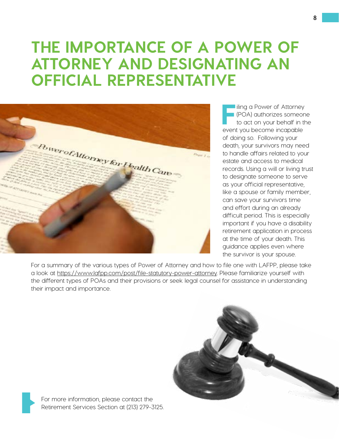### **THE IMPORTANCE OF A POWER OF ATTORNEY AND DESIGNATING AN OFFICIAL REPRESENTATIVE**



**I** iling a Power of Attorney (POA) authorizes someone to act on your behalf in the event you become incapable of doing so. Following your death, your survivors may need to handle affairs related to your estate and access to medical records. Using a will or living trust to designate someone to serve as your official representative, like a spouse or family member, can save your survivors time and effort during an already difficult period. This is especially important if you have a disability retirement application in process at the time of your death. This guidance applies even where the survivor is your spouse.

For a summary of the various types of Power of Attorney and how to file one with LAFPP, please take a look at [https://www.lafpp.com/post/file-statutory-power-attorney.](https://www.lafpp.com/post/file-statutory-power-attorney) Please familiarize yourself with the different types of POAs and their provisions or seek legal counsel for assistance in understanding their impact and importance.



For more information, please contact the Retirement Services Section at (213) 279-3125.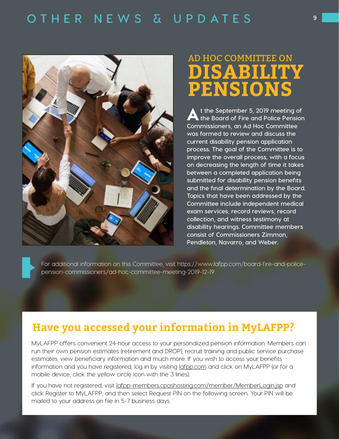

### **DISABILITY PENSIONS** AD HOC COMMITTEE on

A**t the September 5, 2019 meeting of the Board of Fire and Police Pension Commissioners, an Ad Hoc Committee was formed to review and discuss the current disability pension application process. The goal of the Committee is to improve the overall process, with a focus on decreasing the length of time it takes between a completed application being submitted for disability pension benefits and the final determination by the Board. Topics that have been addressed by the Committee include independent medical exam services, record reviews, record collection, and witness testimony at disability hearings. Committee members consist of Commissioners Zimmon, Pendleton, Navarro, and Weber.** 

For additional information on this Committee, visit [https://www.lafpp.com/board-fire-and-police](https://www.lafpp.com/board-fire-and-police-pension-commissioners/ad-hoc-committee-meeting-2019-12-19)[pension-commissioners/ad-hoc-committee-meeting-2019-12-19](https://www.lafpp.com/board-fire-and-police-pension-commissioners/ad-hoc-committee-meeting-2019-12-19)

### **Have you accessed your information in MyLAFPP?**

MyLAFPP offers convenient 24-hour access to your personalized pension information. Members can run their own pension estimates (retirement and DROP), recruit training and public service purchase estimates, view beneficiary information and much more. If you wish to access your benefits information and you have registered, log in by visiting [lafpp.com](http://www.lafpp.com) and click on MyLAFPP (or for a mobile device, click the yellow circle icon with the 3 lines).

If you have not registered, visit [lafpp-members.cpashosting.com/member/MemberLogin.jsp](https://lafpp-members.cpashosting.com/member/MemberLogin.jsp) and click Register to MyLAFPP, and then select Request PIN on the following screen. Your PIN will be mailed to your address on file in 5-7 business days.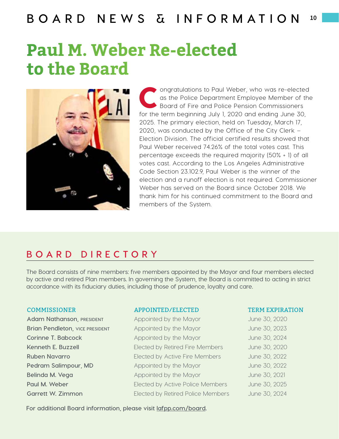### **Paul M. Weber Re-elected to the Board**



ongratulations to Paul Weber, who was re-elected<br>as the Police Department Employee Member of the<br>Board of Fire and Police Pension Commissioners<br>for the term beginning, July 1,2020 and anding, June 30 as the Police Department Employee Member of the Board of Fire and Police Pension Commissioners for the term beginning July 1, 2020 and ending June 30, 2025. The primary election, held on Tuesday, March 17, 2020, was conducted by the Office of the City Clerk – Election Division. The official certified results showed that Paul Weber received 74.26% of the total votes cast. This percentage exceeds the required majority (50% + 1) of all votes cast. According to the Los Angeles Administrative Code Section 23.102.9, Paul Weber is the winner of the election and a runoff election is not required. Commissioner Weber has served on the Board since October 2018. We thank him for his continued commitment to the Board and members of the System.

### **bo a rd dir e ctory**

**The Board consists of nine members: five members appointed by the Mayor and four members elected by active and retired Plan members. In governing the System, the Board is committed to acting in strict accordance with its fiduciary duties, including those of prudence, loyalty and care.** 

**Adam Nathanson, PRESIDENT** Appointed by the Mayor **Appointed by Southern Appointed** by the Mayor **Appointed** by the Mayor

#### COMMISSIONER APPOINTED/ELECTED TERM EXPIRATION

**Brian Pendleton, vice president and Appointed by the Mayor Mayor Mayor 30, 2023 Corinne T. Babcock Appointed by the Mayor** June 30, 2024 **Kenneth E. Buzzell** Elected by Retired Fire Members June 30, 2020 **Ruben Navarro Elected by Active Fire Members June 30, 2022 Pedram Salimpour, MD** Appointed by the Mayor June 30, 2022 **Belinda M. Vega** Appointed by the Mayor June 30, 2021 **Paul M. Weber Elected by Active Police Members** June 30, 2025 **Garrett W. Zimmon** Elected by Retired Police Members June 30, 2024

**For additional Board information, please visit [lafpp.com/board](http://www.lafpp.com/board).**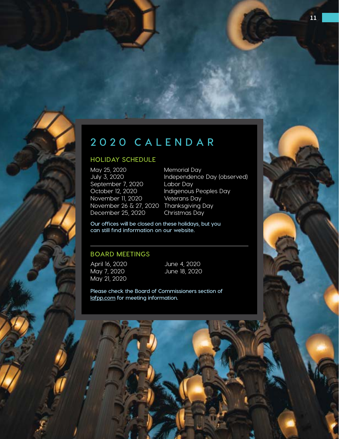

### **2020 c ale nd a r**

### **Holiday Schedule**

May 25, 2020 Memorial Day September 7, 2020 Labor Day October 12, 2020 Indigenous Peoples Day November 11, 2020 Veterans Day November 26 & 27, 2020 Thanksgiving Day December 25, 2020 Christmas Day

July 3, 2020 Independence Day (observed)

**Our offices will be closed on these holidays, but you can still find information on our website.**

### **Board Meetings**

April 16, 2020 May 7, 2020 May 21, 2020

June 4, 2020 June 18, 2020

**Please check the Board of Commissioners section of [lafpp.com](http://www.lafpp.com) for meeting information.**